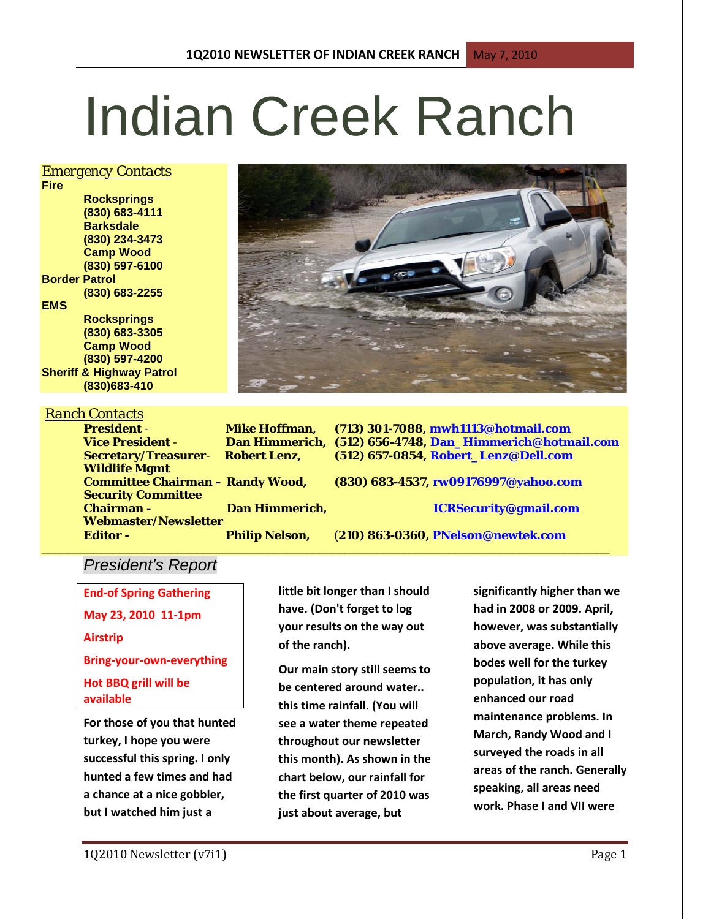# Indian Creek Ranch

## *Emergency Contacts*

**Fire Rocksprings (830) 683-4111 Barksdale (830) 234-3473 Camp Wood (830) 597-6100 Border Patrol (830) 683-2255 EMS Rocksprings (830) 683-3305 Camp Wood (830) 597-4200 Sheriff & Highway Patrol (830)683-410**

## *Ranch Contacts*

**President** - **Mike Hoffman, (713) 301-7088, mwh1113@hotmail.com Vice President** - **Dan Himmerich, (512) 656-4748, Dan\_Himmerich@hotmail.com Secretary/Treasurer**- **Robert Lenz, (512) 657-0854, Robert\_Lenz@Dell.com Wildlife Mgmt Committee Chairman – Randy Wood, (830) 683-4537, rw09176997@yahoo.com Security Committee** 

**Chairman - Dan Himmerich, ICRSecurity@gmail.com**

**Editor - Philip Nelson,** (**210) 863-0360, PNelson@newtek.com**

# *President's Report*

**Webmaster/Newsletter** 

**End-of Spring Gathering May 23, 2010 11-1pm Airstrip Bring-your-own-everything Hot BBQ grill will be available**

**For those of you that hunted turkey, I hope you were successful this spring. I only hunted a few times and had a chance at a nice gobbler, but I watched him just a** 

**little bit longer than I should have. (Don't forget to log your results on the way out of the ranch).**

**\_\_\_\_\_\_\_\_\_\_\_\_\_\_\_\_\_\_\_\_\_\_\_\_\_\_\_\_\_\_\_\_\_\_\_\_\_\_\_\_\_\_\_\_\_\_\_\_\_\_\_\_\_\_\_\_\_\_\_\_\_\_\_\_\_\_\_\_\_\_\_\_\_\_\_\_\_\_\_\_\_\_\_\_\_\_\_\_**

**Our main story still seems to be centered around water.. this time rainfall. (You will see a water theme repeated throughout our newsletter this month). As shown in the chart below, our rainfall for the first quarter of 2010 was just about average, but** 

**significantly higher than we had in 2008 or 2009. April, however, was substantially above average. While this bodes well for the turkey population, it has only enhanced our road maintenance problems. In March, Randy Wood and I surveyed the roads in all areas of the ranch. Generally speaking, all areas need work. Phase I and VII were**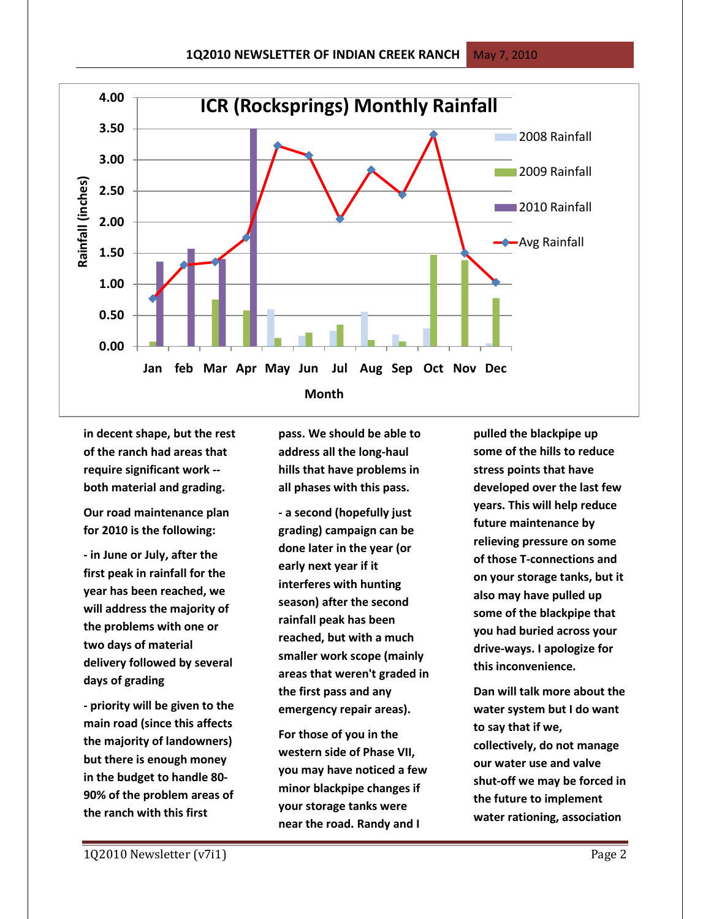

**in decent shape, but the rest of the ranch had areas that require significant work - both material and grading.** 

**Our road maintenance plan for 2010 is the following:**

**- in June or July, after the first peak in rainfall for the year has been reached, we will address the majority of the problems with one or two days of material delivery followed by several days of grading**

**- priority will be given to the main road (since this affects the majority of landowners) but there is enough money in the budget to handle 80- 90% of the problem areas of the ranch with this first** 

**pass. We should be able to address all the long-haul hills that have problems in all phases with this pass.**

**- a second (hopefully just grading) campaign can be done later in the year (or early next year if it interferes with hunting season) after the second rainfall peak has been reached, but with a much smaller work scope (mainly areas that weren't graded in the first pass and any emergency repair areas).**

**For those of you in the western side of Phase VII, you may have noticed a few minor blackpipe changes if your storage tanks were near the road. Randy and I** 

**pulled the blackpipe up some of the hills to reduce stress points that have developed over the last few years. This will help reduce future maintenance by relieving pressure on some of those T-connections and on your storage tanks, but it also may have pulled up some of the blackpipe that you had buried across your drive-ways. I apologize for this inconvenience.**

**Dan will talk more about the water system but I do want to say that if we, collectively, do not manage our water use and valve shut-off we may be forced in the future to implement water rationing, association**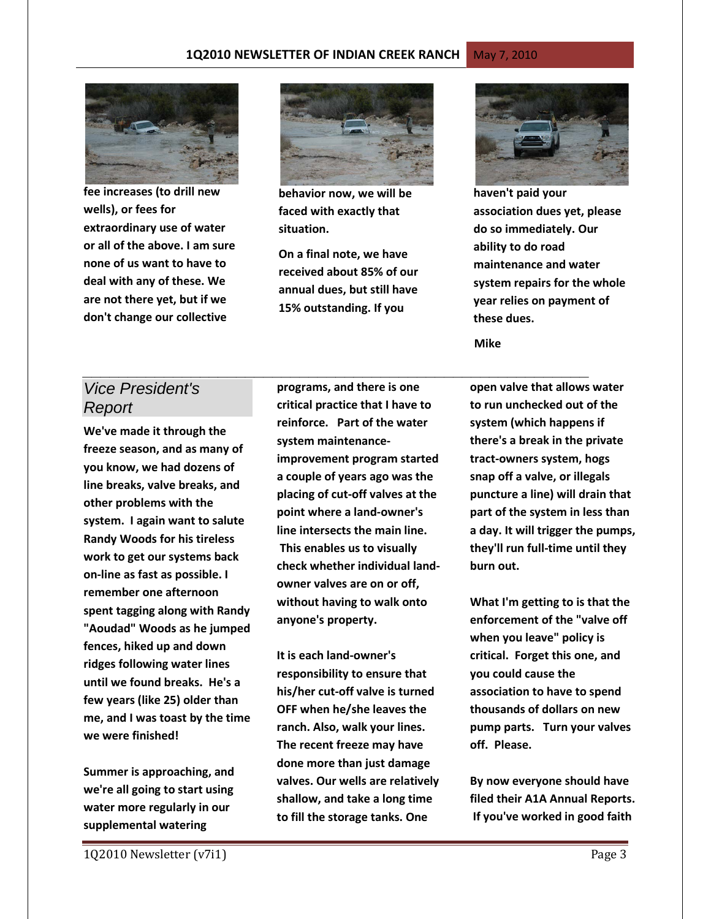#### **1Q2010 NEWSLETTER OF INDIAN CREEK RANCH May 7, 2010**



**fee increases (to drill new wells), or fees for extraordinary use of water or all of the above. I am sure none of us want to have to deal with any of these. We are not there yet, but if we don't change our collective** 



**behavior now, we will be faced with exactly that situation.**

**On a final note, we have received about 85% of our annual dues, but still have 15% outstanding. If you** 



**haven't paid your association dues yet, please do so immediately. Our ability to do road maintenance and water system repairs for the whole year relies on payment of these dues.**

 **Mike**

# *Vice President's Report*

**We've made it through the freeze season, and as many of you know, we had dozens of line breaks, valve breaks, and other problems with the system. I again want to salute Randy Woods for his tireless work to get our systems back on-line as fast as possible. I remember one afternoon spent tagging along with Randy "Aoudad" Woods as he jumped fences, hiked up and down ridges following water lines until we found breaks. He's a few years (like 25) older than me, and I was toast by the time we were finished!**

**Summer is approaching, and we're all going to start using water more regularly in our supplemental watering** 

**programs, and there is one critical practice that I have to reinforce. Part of the water system maintenanceimprovement program started a couple of years ago was the placing of cut-off valves at the point where a land-owner's line intersects the main line. This enables us to visually check whether individual landowner valves are on or off, without having to walk onto anyone's property.**

**It is each land-owner's responsibility to ensure that his/her cut-off valve is turned OFF when he/she leaves the ranch. Also, walk your lines. The recent freeze may have done more than just damage valves. Our wells are relatively shallow, and take a long time to fill the storage tanks. One** 

*\_\_\_\_\_\_\_\_\_\_\_\_\_\_\_\_\_\_\_\_\_\_\_\_\_\_\_\_\_\_\_\_\_\_\_\_\_\_\_\_\_\_\_\_\_\_\_\_\_\_\_\_\_\_\_\_* **open valve that allows water to run unchecked out of the system (which happens if there's a break in the private tract-owners system, hogs snap off a valve, or illegals puncture a line) will drain that part of the system in less than a day. It will trigger the pumps, they'll run full-time until they burn out.**

> **What I'm getting to is that the enforcement of the "valve off when you leave" policy is critical. Forget this one, and you could cause the association to have to spend thousands of dollars on new pump parts. Turn your valves off. Please.**

**By now everyone should have filed their A1A Annual Reports. If you've worked in good faith**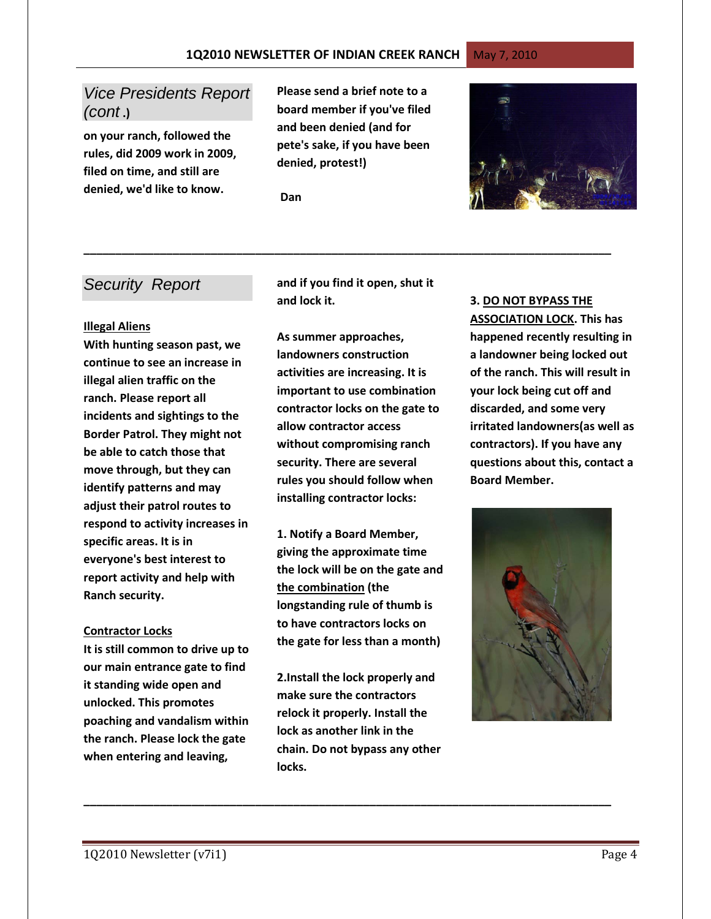# *Vice Presidents Report (cont* **.)**

**on your ranch, followed the rules, did 2009 work in 2009, filed on time, and still are denied, we'd like to know.** 

**Please send a brief note to a board member if you've filed and been denied (and for pete's sake, if you have been denied, protest!)** 

 **Dan**



## *Security Report*

#### **Illegal Aliens**

**With hunting season past, we continue to see an increase in illegal alien traffic on the ranch. Please report all incidents and sightings to the Border Patrol. They might not be able to catch those that move through, but they can identify patterns and may adjust their patrol routes to respond to activity increases in specific areas. It is in everyone's best interest to report activity and help with Ranch security.** 

#### **Contractor Locks**

**It is still common to drive up to our main entrance gate to find it standing wide open and unlocked. This promotes poaching and vandalism within the ranch. Please lock the gate when entering and leaving,** 

**and if you find it open, shut it and lock it.**

**\_\_\_\_\_\_\_\_\_\_\_\_\_\_\_\_\_\_\_\_\_\_\_\_\_\_\_\_\_\_\_\_\_\_\_\_\_\_\_\_\_\_\_\_\_\_\_\_\_\_\_\_\_\_\_\_\_\_\_\_\_\_\_\_\_\_\_\_\_\_\_\_\_\_\_\_\_\_\_\_\_\_\_**

**As summer approaches, landowners construction activities are increasing. It is important to use combination contractor locks on the gate to allow contractor access without compromising ranch security. There are several rules you should follow when installing contractor locks:**

**1. Notify a Board Member, giving the approximate time the lock will be on the gate and the combination (the longstanding rule of thumb is to have contractors locks on the gate for less than a month)**

**2.Install the lock properly and make sure the contractors relock it properly. Install the lock as another link in the chain. Do not bypass any other locks.**

**\_\_\_\_\_\_\_\_\_\_\_\_\_\_\_\_\_\_\_\_\_\_\_\_\_\_\_\_\_\_\_\_\_\_\_\_\_\_\_\_\_\_\_\_\_\_\_\_\_\_\_\_\_\_\_\_\_\_\_\_\_\_\_\_\_\_\_\_\_\_\_\_\_\_\_\_\_\_\_\_\_\_\_**

#### **3. DO NOT BYPASS THE**

**ASSOCIATION LOCK. This has happened recently resulting in a landowner being locked out of the ranch. This will result in your lock being cut off and discarded, and some very irritated landowners(as well as contractors). If you have any questions about this, contact a Board Member.**

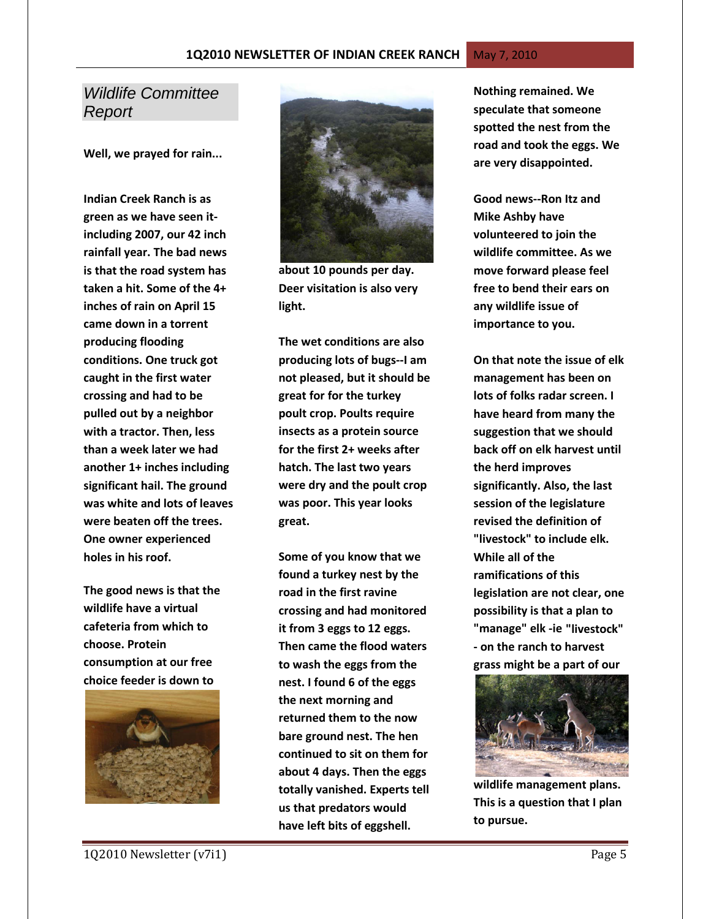# *Wildlife Committee Report*

**Well, we prayed for rain...**

**Indian Creek Ranch is as green as we have seen itincluding 2007, our 42 inch rainfall year. The bad news is that the road system has taken a hit. Some of the 4+ inches of rain on April 15 came down in a torrent producing flooding conditions. One truck got caught in the first water crossing and had to be pulled out by a neighbor with a tractor. Then, less than a week later we had another 1+ inches including significant hail. The ground was white and lots of leaves were beaten off the trees. One owner experienced holes in his roof.** 

**The good news is that the wildlife have a virtual cafeteria from which to choose. Protein consumption at our free choice feeder is down to** 





**about 10 pounds per day. Deer visitation is also very light.** 

**The wet conditions are also producing lots of bugs--I am not pleased, but it should be great for for the turkey poult crop. Poults require insects as a protein source for the first 2+ weeks after hatch. The last two years were dry and the poult crop was poor. This year looks great.** 

**Some of you know that we found a turkey nest by the road in the first ravine crossing and had monitored it from 3 eggs to 12 eggs. Then came the flood waters to wash the eggs from the nest. I found 6 of the eggs the next morning and returned them to the now bare ground nest. The hen continued to sit on them for about 4 days. Then the eggs totally vanished. Experts tell us that predators would have left bits of eggshell.** 

**Nothing remained. We speculate that someone spotted the nest from the road and took the eggs. We are very disappointed.** 

**Good news--Ron Itz and Mike Ashby have volunteered to join the wildlife committee. As we move forward please feel free to bend their ears on any wildlife issue of importance to you.** 

**On that note the issue of elk management has been on lots of folks radar screen. I have heard from many the suggestion that we should back off on elk harvest until the herd improves significantly. Also, the last session of the legislature revised the definition of "livestock" to include elk. While all of the ramifications of this legislation are not clear, one possibility is that a plan to "manage" elk -ie "livestock" - on the ranch to harvest grass might be a part of our** 



**wildlife management plans. This is a question that I plan to pursue.**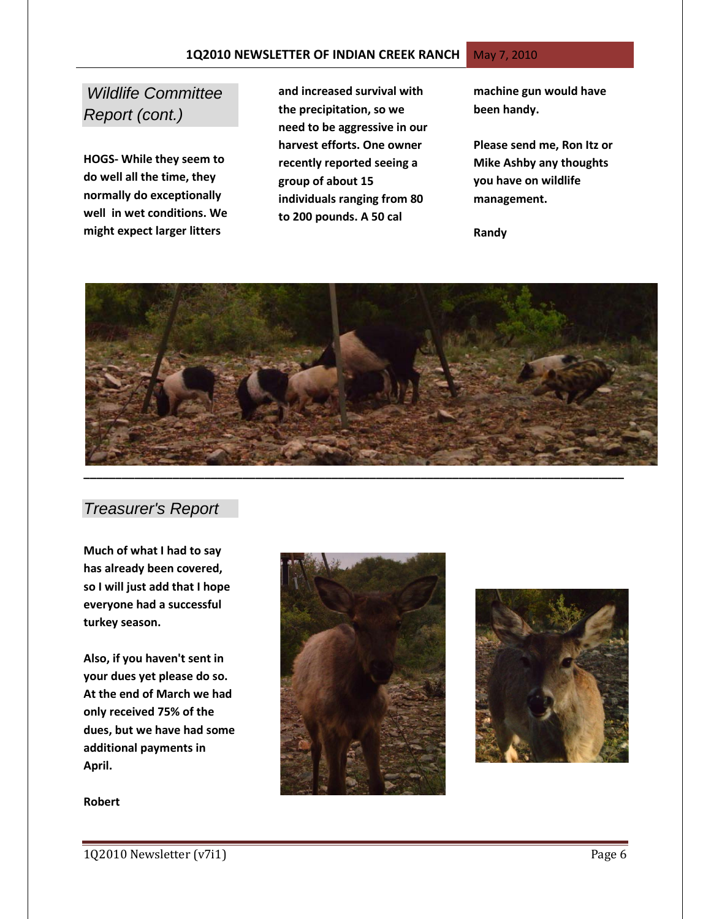#### **1Q2010 NEWSLETTER OF INDIAN CREEK RANCH** May 7, 2010

# *Wildlife Committee Report (cont.)*

**HOGS- While they seem to do well all the time, they normally do exceptionally well in wet conditions. We might expect larger litters** 

**and increased survival with the precipitation, so we need to be aggressive in our harvest efforts. One owner recently reported seeing a group of about 15 individuals ranging from 80 to 200 pounds. A 50 cal** 

**machine gun would have been handy.** 

**Please send me, Ron Itz or Mike Ashby any thoughts you have on wildlife management.**

**Randy**



# *Treasurer's Report*

**Much of what I had to say has already been covered, so I will just add that I hope everyone had a successful turkey season.**

**Also, if you haven't sent in your dues yet please do so. At the end of March we had only received 75% of the dues, but we have had some additional payments in April.**

**Robert**